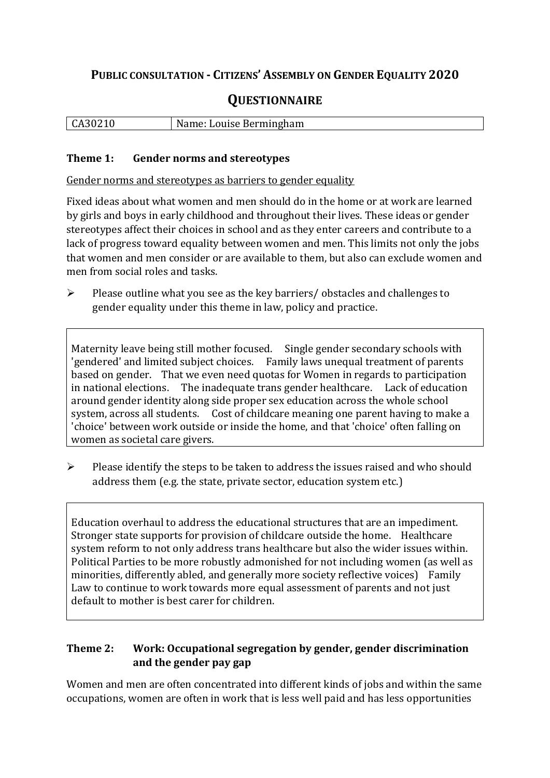## **PUBLIC CONSULTATION - CITIZENS' ASSEMBLY ON GENDER EQUALITY 2020**

# **QUESTIONNAIRE**

| CA30210 | Name: Louise Bermingham |
|---------|-------------------------|
|         |                         |

#### **Theme 1: Gender norms and stereotypes**

Gender norms and stereotypes as barriers to gender equality

Fixed ideas about what women and men should do in the home or at work are learned by girls and boys in early childhood and throughout their lives. These ideas or gender stereotypes affect their choices in school and as they enter careers and contribute to a lack of progress toward equality between women and men. This limits not only the jobs that women and men consider or are available to them, but also can exclude women and men from social roles and tasks.

➢ Please outline what you see as the key barriers/ obstacles and challenges to gender equality under this theme in law, policy and practice.

Maternity leave being still mother focused. Single gender secondary schools with 'gendered' and limited subject choices. Family laws unequal treatment of parents based on gender. That we even need quotas for Women in regards to participation in national elections. The inadequate trans gender healthcare. Lack of education around gender identity along side proper sex education across the whole school system, across all students. Cost of childcare meaning one parent having to make a 'choice' between work outside or inside the home, and that 'choice' often falling on women as societal care givers.

➢ Please identify the steps to be taken to address the issues raised and who should address them (e.g. the state, private sector, education system etc.)

Education overhaul to address the educational structures that are an impediment. Stronger state supports for provision of childcare outside the home. Healthcare system reform to not only address trans healthcare but also the wider issues within. Political Parties to be more robustly admonished for not including women (as well as minorities, differently abled, and generally more society reflective voices) Family Law to continue to work towards more equal assessment of parents and not just default to mother is best carer for children.

### **Theme 2: Work: Occupational segregation by gender, gender discrimination and the gender pay gap**

Women and men are often concentrated into different kinds of jobs and within the same occupations, women are often in work that is less well paid and has less opportunities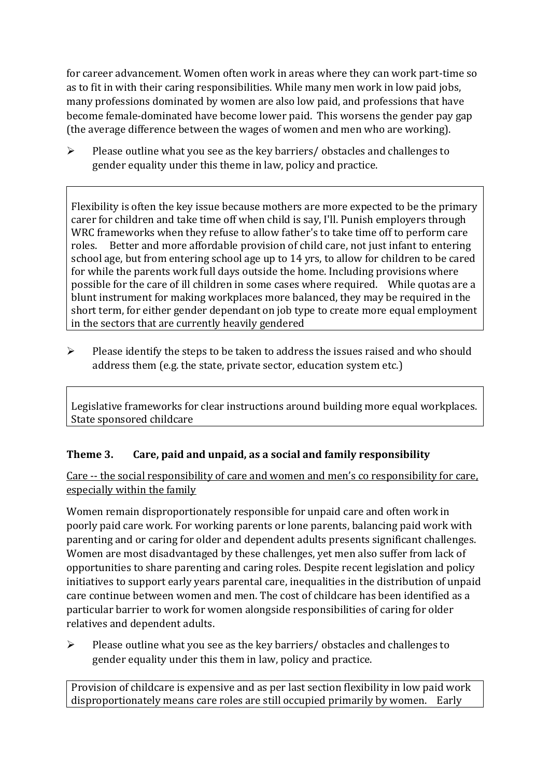for career advancement. Women often work in areas where they can work part-time so as to fit in with their caring responsibilities. While many men work in low paid jobs, many professions dominated by women are also low paid, and professions that have become female-dominated have become lower paid. This worsens the gender pay gap (the average difference between the wages of women and men who are working).

➢ Please outline what you see as the key barriers/ obstacles and challenges to gender equality under this theme in law, policy and practice.

Flexibility is often the key issue because mothers are more expected to be the primary carer for children and take time off when child is say, I'll. Punish employers through WRC frameworks when they refuse to allow father's to take time off to perform care roles. Better and more affordable provision of child care, not just infant to entering school age, but from entering school age up to 14 yrs, to allow for children to be cared for while the parents work full days outside the home. Including provisions where possible for the care of ill children in some cases where required. While quotas are a blunt instrument for making workplaces more balanced, they may be required in the short term, for either gender dependant on job type to create more equal employment in the sectors that are currently heavily gendered

 $\triangleright$  Please identify the steps to be taken to address the issues raised and who should address them (e.g. the state, private sector, education system etc.)

Legislative frameworks for clear instructions around building more equal workplaces. State sponsored childcare

## **Theme 3. Care, paid and unpaid, as a social and family responsibility**

Care -- the social responsibility of care and women and men's co responsibility for care, especially within the family

Women remain disproportionately responsible for unpaid care and often work in poorly paid care work. For working parents or [lone parents,](https://aran.library.nuigalway.ie/bitstream/handle/10379/6044/Millar_and_Crosse_Activation_Report.pdf?sequence=1&isAllowed=y) balancing paid work with parenting and or caring for older and dependent adults presents significant challenges. Women are [most disadvantaged by these challenges,](https://eige.europa.eu/gender-equality-index/game/IE/W) yet men also suffer from lack of opportunities to share parenting and caring roles. Despite recent legislation and policy initiatives to support early years parental care, [inequalities in the distribution of unpaid](https://www.ihrec.ie/app/uploads/2019/07/Caring-and-Unpaid-Work-in-Ireland_Final.pdf)  [care](https://www.ihrec.ie/app/uploads/2019/07/Caring-and-Unpaid-Work-in-Ireland_Final.pdf) continue between women and men. The cost of childcare has been identified as a particular barrier to work for women alongside responsibilities of caring for older relatives and dependent adults.

➢ Please outline what you see as the key barriers/ obstacles and challenges to gender equality under this them in law, policy and practice.

Provision of childcare is expensive and as per last section flexibility in low paid work disproportionately means care roles are still occupied primarily by women. Early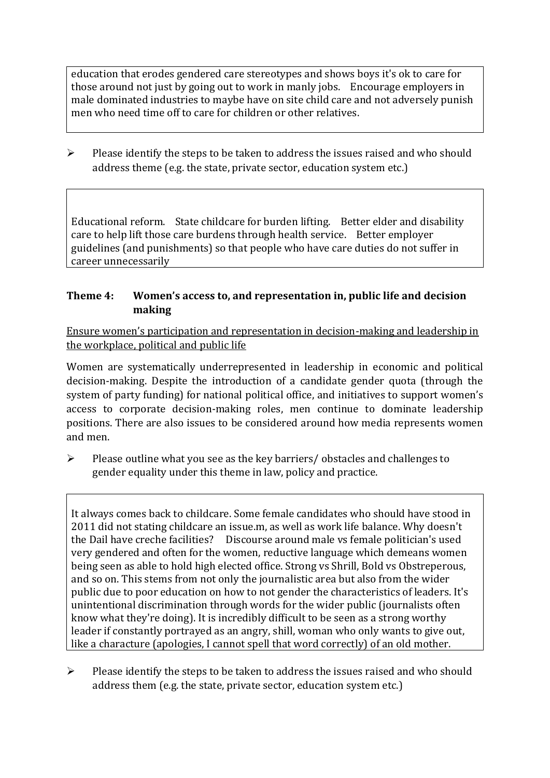education that erodes gendered care stereotypes and shows boys it's ok to care for those around not just by going out to work in manly jobs. Encourage employers in male dominated industries to maybe have on site child care and not adversely punish men who need time off to care for children or other relatives.

➢ Please identify the steps to be taken to address the issues raised and who should address theme (e.g. the state, private sector, education system etc.)

Educational reform. State childcare for burden lifting. Better elder and disability care to help lift those care burdens through health service. Better employer guidelines (and punishments) so that people who have care duties do not suffer in career unnecessarily

#### **Theme 4: Women's access to, and representation in, public life and decision making**

Ensure women's participation and representation in decision-making and leadership in the workplace, political and public life

Women are systematically underrepresented in leadership in [economic](https://eige.europa.eu/gender-equality-index/2019/compare-countries/power/2/bar) and [political](https://eige.europa.eu/gender-equality-index/2019/compare-countries/power/1/bar)  [decision-](https://eige.europa.eu/gender-equality-index/2019/compare-countries/power/1/bar)making. Despite the introduction of a candidate gender quota (through the system of party funding) for national political office, and [initiatives](https://betterbalance.ie/) to support women's access to corporate decision-making roles, men continue to dominate leadership positions. There are also issues to be considered around how media represents women and men.

➢ Please outline what you see as the key barriers/ obstacles and challenges to gender equality under this theme in law, policy and practice.

It always comes back to childcare. Some female candidates who should have stood in 2011 did not stating childcare an issue.m, as well as work life balance. Why doesn't the Dail have creche facilities? Discourse around male vs female politician's used very gendered and often for the women, reductive language which demeans women being seen as able to hold high elected office. Strong vs Shrill, Bold vs Obstreperous, and so on. This stems from not only the journalistic area but also from the wider public due to poor education on how to not gender the characteristics of leaders. It's unintentional discrimination through words for the wider public (journalists often know what they're doing). It is incredibly difficult to be seen as a strong worthy leader if constantly portrayed as an angry, shill, woman who only wants to give out, like a characture (apologies, I cannot spell that word correctly) of an old mother.

➢ Please identify the steps to be taken to address the issues raised and who should address them (e.g. the state, private sector, education system etc.)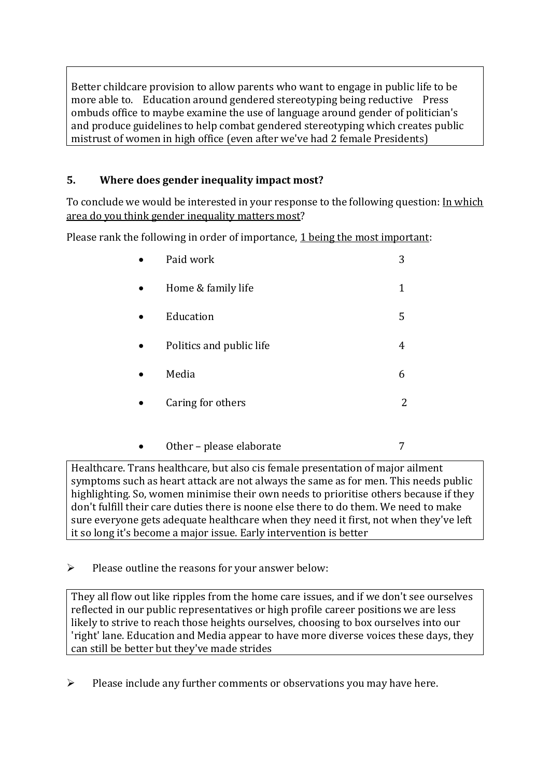Better childcare provision to allow parents who want to engage in public life to be more able to. Education around gendered stereotyping being reductive Press ombuds office to maybe examine the use of language around gender of politician's and produce guidelines to help combat gendered stereotyping which creates public mistrust of women in high office (even after we've had 2 female Presidents)

## **5. Where does gender inequality impact most?**

To conclude we would be interested in your response to the following question: In which area do you think gender inequality matters most?

Please rank the following in order of importance, 1 being the most important:

| Paid work                | 3 |
|--------------------------|---|
| Home & family life       | 1 |
| Education                | 5 |
| Politics and public life | 4 |
| Media                    | 6 |
| Caring for others        | 2 |
|                          |   |

Healthcare. Trans healthcare, but also cis female presentation of major ailment symptoms such as heart attack are not always the same as for men. This needs public highlighting. So, women minimise their own needs to prioritise others because if they don't fulfill their care duties there is noone else there to do them. We need to make sure everyone gets adequate healthcare when they need it first, not when they've left it so long it's become a major issue. Early intervention is better

Other – please elaborate 7

 $\triangleright$  Please outline the reasons for your answer below:

They all flow out like ripples from the home care issues, and if we don't see ourselves reflected in our public representatives or high profile career positions we are less likely to strive to reach those heights ourselves, choosing to box ourselves into our 'right' lane. Education and Media appear to have more diverse voices these days, they can still be better but they've made strides

➢ Please include any further comments or observations you may have here.